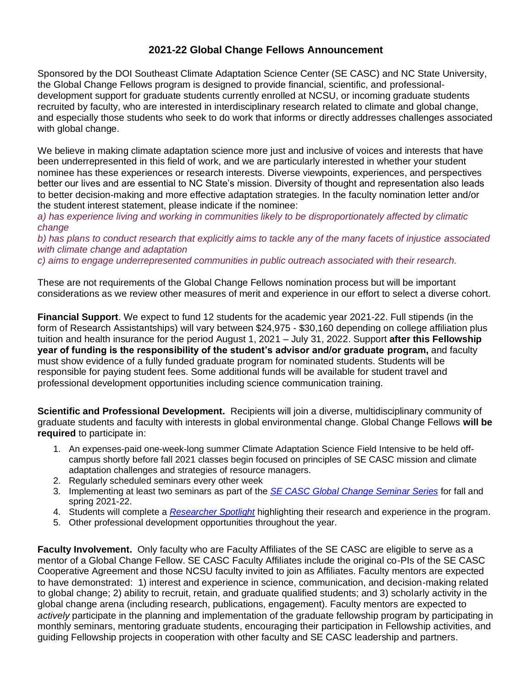## **2021-22 Global Change Fellows Announcement**

Sponsored by the DOI Southeast Climate Adaptation Science Center (SE CASC) and NC State University, the Global Change Fellows program is designed to provide financial, scientific, and professionaldevelopment support for graduate students currently enrolled at NCSU, or incoming graduate students recruited by faculty, who are interested in interdisciplinary research related to climate and global change, and especially those students who seek to do work that informs or directly addresses challenges associated with global change.

We believe in making climate adaptation science more just and inclusive of voices and interests that have been underrepresented in this field of work, and we are particularly interested in whether your student nominee has these experiences or research interests. Diverse viewpoints, experiences, and perspectives better our lives and are essential to NC State's mission. Diversity of thought and representation also leads to better decision-making and more effective adaptation strategies. In the faculty nomination letter and/or the student interest statement, please indicate if the nominee:

*a) has experience living and working in communities likely to be disproportionately affected by climatic change*

*b) has plans to conduct research that explicitly aims to tackle any of the many facets of injustice associated with climate change and adaptation* 

*c) aims to engage underrepresented communities in public outreach associated with their research.*

These are not requirements of the Global Change Fellows nomination process but will be important considerations as we review other measures of merit and experience in our effort to select a diverse cohort.

**Financial Support**. We expect to fund 12 students for the academic year 2021-22. Full stipends (in the form of Research Assistantships) will vary between \$24,975 - \$30,160 depending on college affiliation plus tuition and health insurance for the period August 1, 2021 – July 31, 2022. Support **after this Fellowship year of funding is the responsibility of the student's advisor and/or graduate program,** and faculty must show evidence of a fully funded graduate program for nominated students. Students will be responsible for paying student fees. Some additional funds will be available for student travel and professional development opportunities including science communication training.

**Scientific and Professional Development.** Recipients will join a diverse, multidisciplinary community of graduate students and faculty with interests in global environmental change. Global Change Fellows **will be required** to participate in:

- 1. An expenses-paid one-week-long summer Climate Adaptation Science Field Intensive to be held offcampus shortly before fall 2021 classes begin focused on principles of SE CASC mission and climate adaptation challenges and strategies of resource managers.
- 2. Regularly scheduled seminars every other week
- 3. Implementing at least two seminars as part of the *[SE CASC Global Change Seminar Series](https://secasc.ncsu.edu/resources/videos/#global-change-seminars)* for fall and spring 2021-22.
- 4. Students will complete a *[Researcher Spotlight](https://secasc.ncsu.edu/category/research-highlights/)* highlighting their research and experience in the program.
- 5. Other professional development opportunities throughout the year.

**Faculty Involvement.** Only faculty who are Faculty Affiliates of the SE CASC are eligible to serve as a mentor of a Global Change Fellow. SE CASC Faculty Affiliates include the original co-PIs of the SE CASC Cooperative Agreement and those NCSU faculty invited to join as Affiliates. Faculty mentors are expected to have demonstrated: 1) interest and experience in science, communication, and decision-making related to global change; 2) ability to recruit, retain, and graduate qualified students; and 3) scholarly activity in the global change arena (including research, publications, engagement). Faculty mentors are expected to *actively* participate in the planning and implementation of the graduate fellowship program by participating in monthly seminars, mentoring graduate students, encouraging their participation in Fellowship activities, and guiding Fellowship projects in cooperation with other faculty and SE CASC leadership and partners.